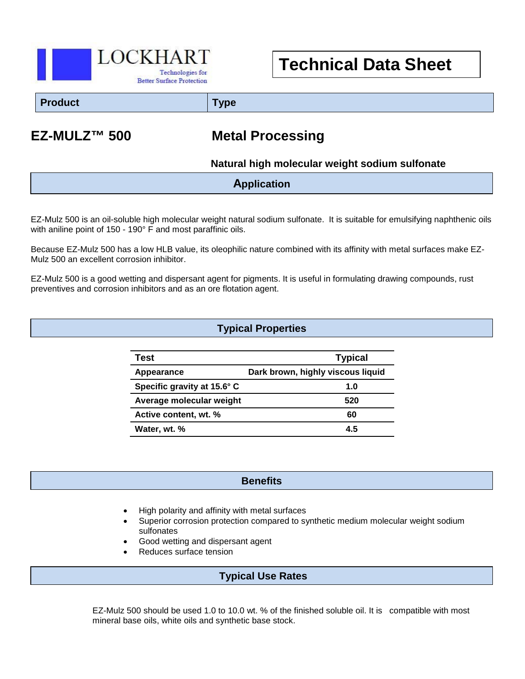

**Technical Data Sheet**

**Product Type**

# **EZ-MULZ™ 500 Metal Processing**

## **Natural high molecular weight sodium sulfonate**

## **Application**

EZ-Mulz 500 is an oil-soluble high molecular weight natural sodium sulfonate. It is suitable for emulsifying naphthenic oils with aniline point of 150 - 190° F and most paraffinic oils.

Because EZ-Mulz 500 has a low HLB value, its oleophilic nature combined with its affinity with metal surfaces make EZ-Mulz 500 an excellent corrosion inhibitor.

EZ-Mulz 500 is a good wetting and dispersant agent for pigments. It is useful in formulating drawing compounds, rust preventives and corrosion inhibitors and as an ore flotation agent.

## **Typical Properties**

| Test                        | <b>Typical</b>                    |
|-----------------------------|-----------------------------------|
| Appearance                  | Dark brown, highly viscous liquid |
| Specific gravity at 15.6° C | 1.0                               |
| Average molecular weight    | 520                               |
| Active content, wt. %       | 60                                |
| Water, wt. %                | 4.5                               |

#### **Benefits**

• High polarity and affinity with metal surfaces

 $\overline{a}$ 

- Superior corrosion protection compared to synthetic medium molecular weight sodium sulfonates
- Good wetting and dispersant agent
- Reduces surface tension

## **Typical Use Rates**

EZ-Mulz 500 should be used 1.0 to 10.0 wt. % of the finished soluble oil. It is compatible with most mineral base oils, white oils and synthetic base stock.